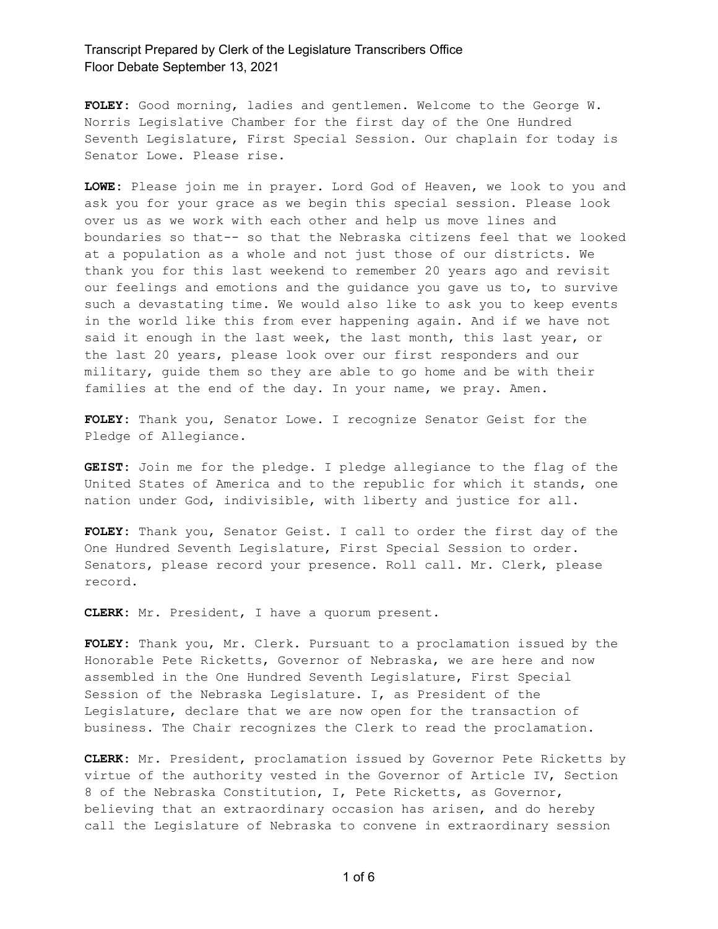**FOLEY:** Good morning, ladies and gentlemen. Welcome to the George W. Norris Legislative Chamber for the first day of the One Hundred Seventh Legislature, First Special Session. Our chaplain for today is Senator Lowe. Please rise.

**LOWE:** Please join me in prayer. Lord God of Heaven, we look to you and ask you for your grace as we begin this special session. Please look over us as we work with each other and help us move lines and boundaries so that-- so that the Nebraska citizens feel that we looked at a population as a whole and not just those of our districts. We thank you for this last weekend to remember 20 years ago and revisit our feelings and emotions and the guidance you gave us to, to survive such a devastating time. We would also like to ask you to keep events in the world like this from ever happening again. And if we have not said it enough in the last week, the last month, this last year, or the last 20 years, please look over our first responders and our military, guide them so they are able to go home and be with their families at the end of the day. In your name, we pray. Amen.

**FOLEY:** Thank you, Senator Lowe. I recognize Senator Geist for the Pledge of Allegiance.

**GEIST:** Join me for the pledge. I pledge allegiance to the flag of the United States of America and to the republic for which it stands, one nation under God, indivisible, with liberty and justice for all.

**FOLEY:** Thank you, Senator Geist. I call to order the first day of the One Hundred Seventh Legislature, First Special Session to order. Senators, please record your presence. Roll call. Mr. Clerk, please record.

**CLERK:** Mr. President, I have a quorum present.

**FOLEY:** Thank you, Mr. Clerk. Pursuant to a proclamation issued by the Honorable Pete Ricketts, Governor of Nebraska, we are here and now assembled in the One Hundred Seventh Legislature, First Special Session of the Nebraska Legislature. I, as President of the Legislature, declare that we are now open for the transaction of business. The Chair recognizes the Clerk to read the proclamation.

**CLERK:** Mr. President, proclamation issued by Governor Pete Ricketts by virtue of the authority vested in the Governor of Article IV, Section 8 of the Nebraska Constitution, I, Pete Ricketts, as Governor, believing that an extraordinary occasion has arisen, and do hereby call the Legislature of Nebraska to convene in extraordinary session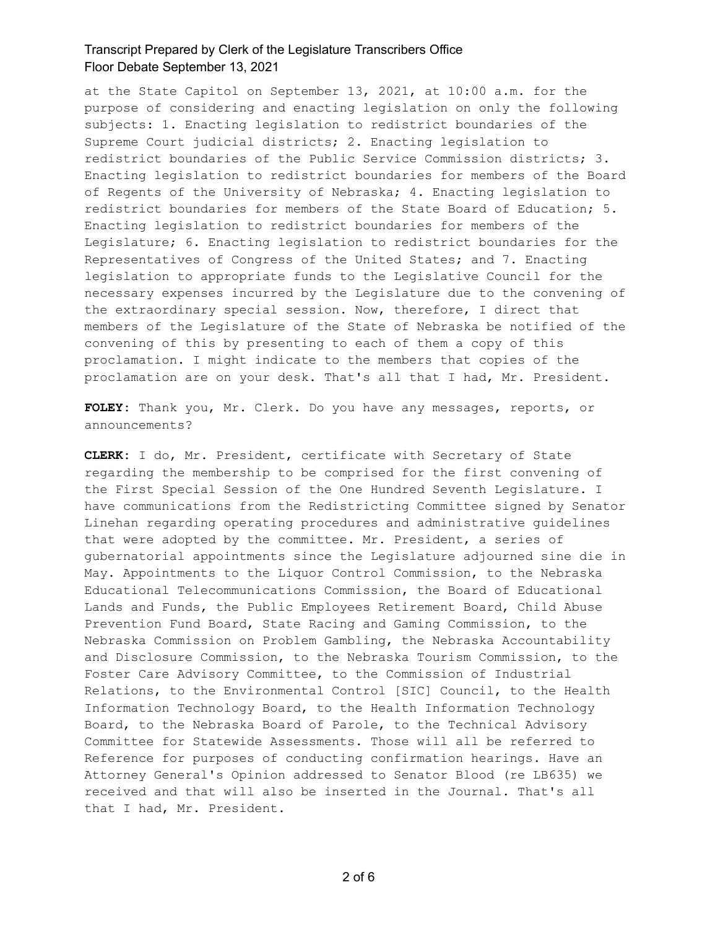at the State Capitol on September 13, 2021, at 10:00 a.m. for the purpose of considering and enacting legislation on only the following subjects: 1. Enacting legislation to redistrict boundaries of the Supreme Court judicial districts; 2. Enacting legislation to redistrict boundaries of the Public Service Commission districts; 3. Enacting legislation to redistrict boundaries for members of the Board of Regents of the University of Nebraska; 4. Enacting legislation to redistrict boundaries for members of the State Board of Education; 5. Enacting legislation to redistrict boundaries for members of the Legislature; 6. Enacting legislation to redistrict boundaries for the Representatives of Congress of the United States; and 7. Enacting legislation to appropriate funds to the Legislative Council for the necessary expenses incurred by the Legislature due to the convening of the extraordinary special session. Now, therefore, I direct that members of the Legislature of the State of Nebraska be notified of the convening of this by presenting to each of them a copy of this proclamation. I might indicate to the members that copies of the proclamation are on your desk. That's all that I had, Mr. President.

**FOLEY:** Thank you, Mr. Clerk. Do you have any messages, reports, or announcements?

**CLERK:** I do, Mr. President, certificate with Secretary of State regarding the membership to be comprised for the first convening of the First Special Session of the One Hundred Seventh Legislature. I have communications from the Redistricting Committee signed by Senator Linehan regarding operating procedures and administrative guidelines that were adopted by the committee. Mr. President, a series of gubernatorial appointments since the Legislature adjourned sine die in May. Appointments to the Liquor Control Commission, to the Nebraska Educational Telecommunications Commission, the Board of Educational Lands and Funds, the Public Employees Retirement Board, Child Abuse Prevention Fund Board, State Racing and Gaming Commission, to the Nebraska Commission on Problem Gambling, the Nebraska Accountability and Disclosure Commission, to the Nebraska Tourism Commission, to the Foster Care Advisory Committee, to the Commission of Industrial Relations, to the Environmental Control [SIC] Council, to the Health Information Technology Board, to the Health Information Technology Board, to the Nebraska Board of Parole, to the Technical Advisory Committee for Statewide Assessments. Those will all be referred to Reference for purposes of conducting confirmation hearings. Have an Attorney General's Opinion addressed to Senator Blood (re LB635) we received and that will also be inserted in the Journal. That's all that I had, Mr. President.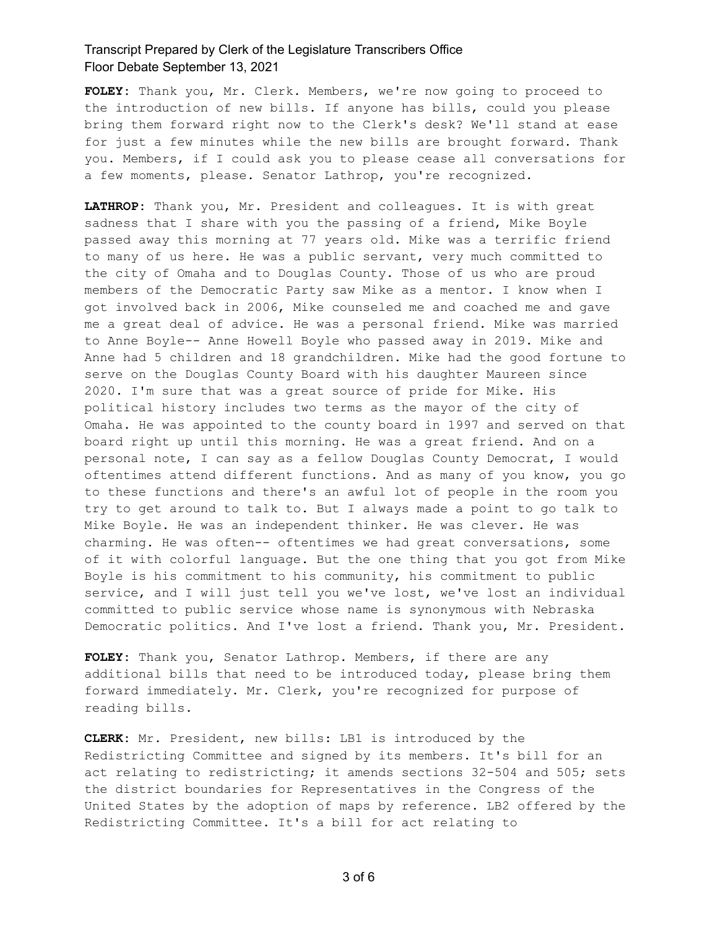**FOLEY:** Thank you, Mr. Clerk. Members, we're now going to proceed to the introduction of new bills. If anyone has bills, could you please bring them forward right now to the Clerk's desk? We'll stand at ease for just a few minutes while the new bills are brought forward. Thank you. Members, if I could ask you to please cease all conversations for a few moments, please. Senator Lathrop, you're recognized.

**LATHROP:** Thank you, Mr. President and colleagues. It is with great sadness that I share with you the passing of a friend, Mike Boyle passed away this morning at 77 years old. Mike was a terrific friend to many of us here. He was a public servant, very much committed to the city of Omaha and to Douglas County. Those of us who are proud members of the Democratic Party saw Mike as a mentor. I know when I got involved back in 2006, Mike counseled me and coached me and gave me a great deal of advice. He was a personal friend. Mike was married to Anne Boyle-- Anne Howell Boyle who passed away in 2019. Mike and Anne had 5 children and 18 grandchildren. Mike had the good fortune to serve on the Douglas County Board with his daughter Maureen since 2020. I'm sure that was a great source of pride for Mike. His political history includes two terms as the mayor of the city of Omaha. He was appointed to the county board in 1997 and served on that board right up until this morning. He was a great friend. And on a personal note, I can say as a fellow Douglas County Democrat, I would oftentimes attend different functions. And as many of you know, you go to these functions and there's an awful lot of people in the room you try to get around to talk to. But I always made a point to go talk to Mike Boyle. He was an independent thinker. He was clever. He was charming. He was often-- oftentimes we had great conversations, some of it with colorful language. But the one thing that you got from Mike Boyle is his commitment to his community, his commitment to public service, and I will just tell you we've lost, we've lost an individual committed to public service whose name is synonymous with Nebraska Democratic politics. And I've lost a friend. Thank you, Mr. President.

**FOLEY:** Thank you, Senator Lathrop. Members, if there are any additional bills that need to be introduced today, please bring them forward immediately. Mr. Clerk, you're recognized for purpose of reading bills.

**CLERK:** Mr. President, new bills: LB1 is introduced by the Redistricting Committee and signed by its members. It's bill for an act relating to redistricting; it amends sections 32-504 and 505; sets the district boundaries for Representatives in the Congress of the United States by the adoption of maps by reference. LB2 offered by the Redistricting Committee. It's a bill for act relating to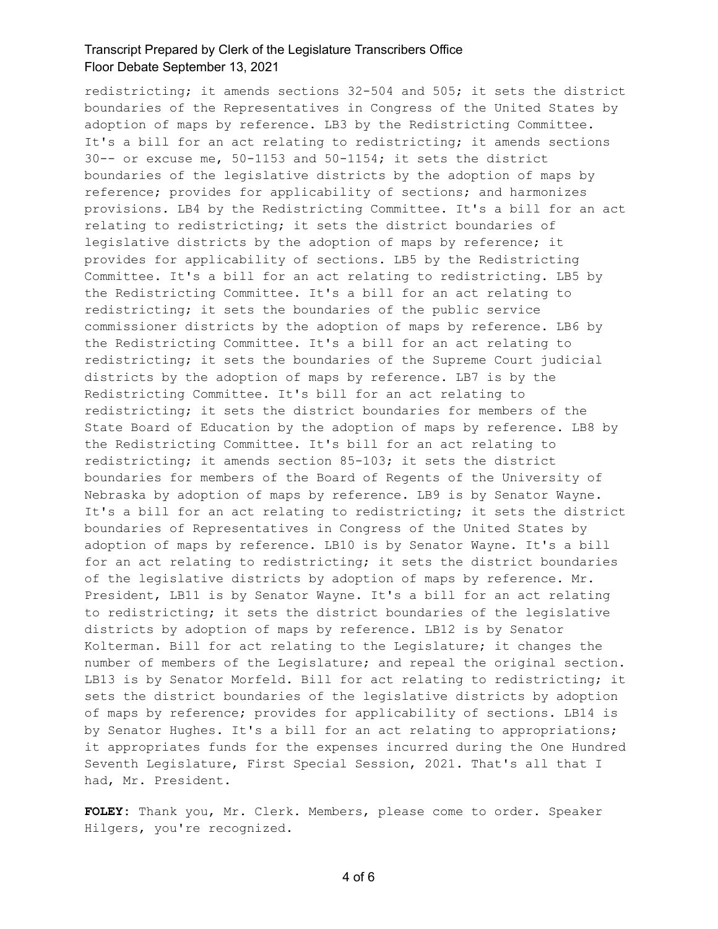redistricting; it amends sections 32-504 and 505; it sets the district boundaries of the Representatives in Congress of the United States by adoption of maps by reference. LB3 by the Redistricting Committee. It's a bill for an act relating to redistricting; it amends sections 30-- or excuse me, 50-1153 and 50-1154; it sets the district boundaries of the legislative districts by the adoption of maps by reference; provides for applicability of sections; and harmonizes provisions. LB4 by the Redistricting Committee. It's a bill for an act relating to redistricting; it sets the district boundaries of legislative districts by the adoption of maps by reference; it provides for applicability of sections. LB5 by the Redistricting Committee. It's a bill for an act relating to redistricting. LB5 by the Redistricting Committee. It's a bill for an act relating to redistricting; it sets the boundaries of the public service commissioner districts by the adoption of maps by reference. LB6 by the Redistricting Committee. It's a bill for an act relating to redistricting; it sets the boundaries of the Supreme Court judicial districts by the adoption of maps by reference. LB7 is by the Redistricting Committee. It's bill for an act relating to redistricting; it sets the district boundaries for members of the State Board of Education by the adoption of maps by reference. LB8 by the Redistricting Committee. It's bill for an act relating to redistricting; it amends section 85-103; it sets the district boundaries for members of the Board of Regents of the University of Nebraska by adoption of maps by reference. LB9 is by Senator Wayne. It's a bill for an act relating to redistricting; it sets the district boundaries of Representatives in Congress of the United States by adoption of maps by reference. LB10 is by Senator Wayne. It's a bill for an act relating to redistricting; it sets the district boundaries of the legislative districts by adoption of maps by reference. Mr. President, LB11 is by Senator Wayne. It's a bill for an act relating to redistricting; it sets the district boundaries of the legislative districts by adoption of maps by reference. LB12 is by Senator Kolterman. Bill for act relating to the Legislature; it changes the number of members of the Legislature; and repeal the original section. LB13 is by Senator Morfeld. Bill for act relating to redistricting; it sets the district boundaries of the legislative districts by adoption of maps by reference; provides for applicability of sections. LB14 is by Senator Hughes. It's a bill for an act relating to appropriations; it appropriates funds for the expenses incurred during the One Hundred Seventh Legislature, First Special Session, 2021. That's all that I had, Mr. President.

**FOLEY:** Thank you, Mr. Clerk. Members, please come to order. Speaker Hilgers, you're recognized.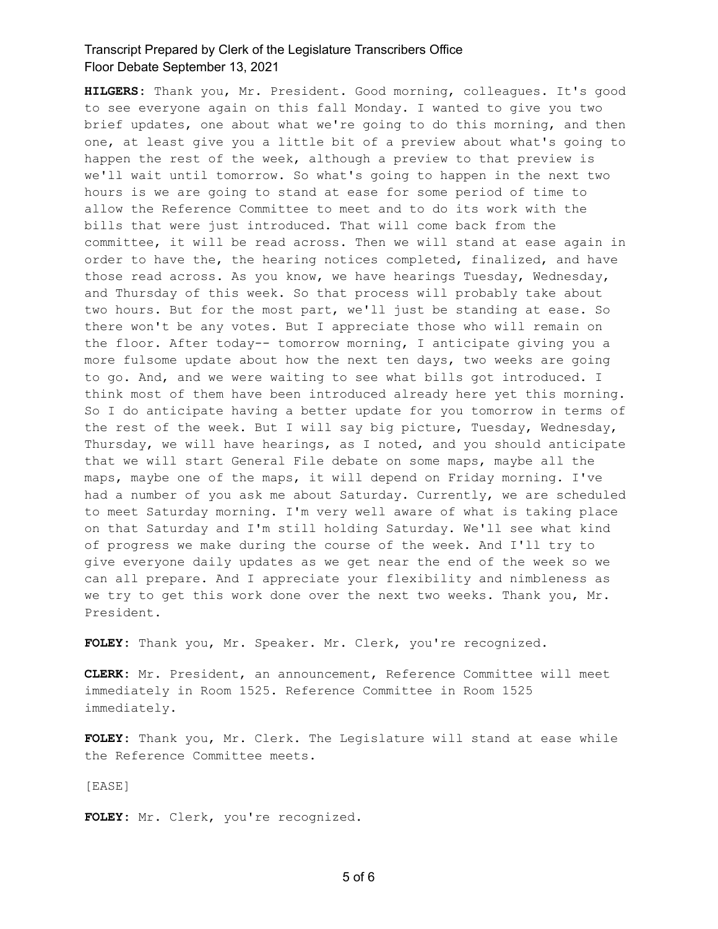**HILGERS:** Thank you, Mr. President. Good morning, colleagues. It's good to see everyone again on this fall Monday. I wanted to give you two brief updates, one about what we're going to do this morning, and then one, at least give you a little bit of a preview about what's going to happen the rest of the week, although a preview to that preview is we'll wait until tomorrow. So what's going to happen in the next two hours is we are going to stand at ease for some period of time to allow the Reference Committee to meet and to do its work with the bills that were just introduced. That will come back from the committee, it will be read across. Then we will stand at ease again in order to have the, the hearing notices completed, finalized, and have those read across. As you know, we have hearings Tuesday, Wednesday, and Thursday of this week. So that process will probably take about two hours. But for the most part, we'll just be standing at ease. So there won't be any votes. But I appreciate those who will remain on the floor. After today-- tomorrow morning, I anticipate giving you a more fulsome update about how the next ten days, two weeks are going to go. And, and we were waiting to see what bills got introduced. I think most of them have been introduced already here yet this morning. So I do anticipate having a better update for you tomorrow in terms of the rest of the week. But I will say big picture, Tuesday, Wednesday, Thursday, we will have hearings, as I noted, and you should anticipate that we will start General File debate on some maps, maybe all the maps, maybe one of the maps, it will depend on Friday morning. I've had a number of you ask me about Saturday. Currently, we are scheduled to meet Saturday morning. I'm very well aware of what is taking place on that Saturday and I'm still holding Saturday. We'll see what kind of progress we make during the course of the week. And I'll try to give everyone daily updates as we get near the end of the week so we can all prepare. And I appreciate your flexibility and nimbleness as we try to get this work done over the next two weeks. Thank you, Mr. President.

**FOLEY:** Thank you, Mr. Speaker. Mr. Clerk, you're recognized.

**CLERK:** Mr. President, an announcement, Reference Committee will meet immediately in Room 1525. Reference Committee in Room 1525 immediately.

**FOLEY:** Thank you, Mr. Clerk. The Legislature will stand at ease while the Reference Committee meets.

[EASE]

**FOLEY:** Mr. Clerk, you're recognized.